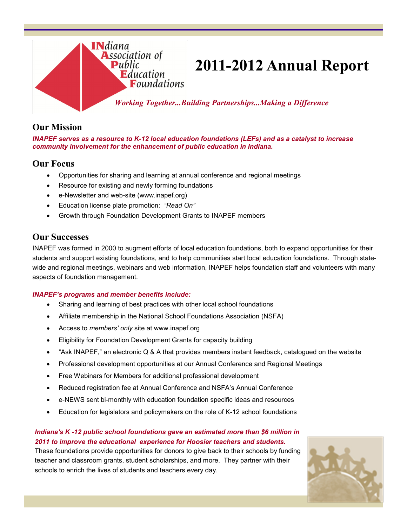

# **2011-2012 Annual Report**

*Working Together...Building Partnerships...Making a Difference*

### **Our Mission**

*INAPEF serves as a resource to K-12 local education foundations (LEFs) and as a catalyst to increase community involvement for the enhancement of public education in Indiana.*

### **Our Focus**

- Opportunities for sharing and learning at annual conference and regional meetings
- Resource for existing and newly forming foundations
- e-Newsletter and web-site (www.inapef.org)
- Education license plate promotion: *"Read On"*
- Growth through Foundation Development Grants to INAPEF members

### **Our Successes**

INAPEF was formed in 2000 to augment efforts of local education foundations, both to expand opportunities for their students and support existing foundations, and to help communities start local education foundations. Through statewide and regional meetings, webinars and web information, INAPEF helps foundation staff and volunteers with many aspects of foundation management.

#### *INAPEF's programs and member benefits include:*

- Sharing and learning of best practices with other local school foundations
- Affiliate membership in the National School Foundations Association (NSFA)
- Access to *members' only* site at www.inapef.org
- Eligibility for Foundation Development Grants for capacity building
- "Ask INAPEF," an electronic Q & A that provides members instant feedback, catalogued on the website
- Professional development opportunities at our Annual Conference and Regional Meetings
- Free Webinars for Members for additional professional development
- Reduced registration fee at Annual Conference and NSFA's Annual Conference
- e-NEWS sent bi-monthly with education foundation specific ideas and resources
- Education for legislators and policymakers on the role of K-12 school foundations

#### *Indiana's K -12 public school foundations gave an estimated more than \$6 million in 2011 to improve the educational experience for Hoosier teachers and students.*

These foundations provide opportunities for donors to give back to their schools by funding teacher and classroom grants, student scholarships, and more. They partner with their schools to enrich the lives of students and teachers every day.

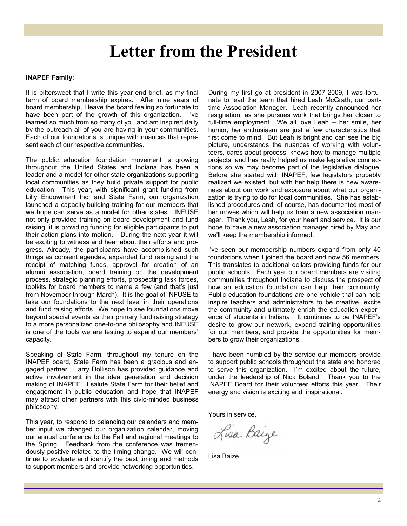## **Letter from the President**

#### **INAPEF Family:**

It is bittersweet that I write this year-end brief, as my final term of board membership expires. After nine years of board membership, I leave the board feeling so fortunate to have been part of the growth of this organization. I've learned so much from so many of you and am inspired daily by the outreach all of you are having in your communities. Each of our foundations is unique with nuances that represent each of our respective communities.

The public education foundation movement is growing throughout the United States and Indiana has been a leader and a model for other state organizations supporting local communities as they build private support for public education. This year, with significant grant funding from Lilly Endowment Inc. and State Farm, our organization launched a capacity-building training for our members that we hope can serve as a model for other states. INFUSE not only provided training on board development and fund raising, it is providing funding for eligible participants to put their action plans into motion. During the next year it will be exciting to witness and hear about their efforts and progress. Already, the participants have accomplished such things as consent agendas, expanded fund raising and the receipt of matching funds, approval for creation of an alumni association, board training on the development process, strategic planning efforts, prospecting task forces, toolkits for board members to name a few (and that's just from November through March). It is the goal of INFUSE to take our foundations to the next level in their operations and fund raising efforts. We hope to see foundations move beyond special events as their primary fund raising strategy to a more personalized one-to-one philosophy and INFUSE is one of the tools we are testing to expand our members' capacity.

Speaking of State Farm, throughout my tenure on the INAPEF board, State Farm has been a gracious and engaged partner. Larry Dollison has provided guidance and active involvement in the idea generation and decision making of INAPEF. I salute State Farm for their belief and engagement in public education and hope that INAPEF may attract other partners with this civic-minded business philosophy.

This year, to respond to balancing our calendars and member input we changed our organization calendar, moving our annual conference to the Fall and regional meetings to the Spring. Feedback from the conference was tremendously positive related to the timing change. We will continue to evaluate and identify the best timing and methods to support members and provide networking opportunities.

During my first go at president in 2007-2009, I was fortunate to lead the team that hired Leah McGrath, our parttime Association Manager. Leah recently announced her resignation, as she pursues work that brings her closer to full-time employment. We all love Leah -- her smile, her humor, her enthusiasm are just a few characteristics that first come to mind. But Leah is bright and can see the big picture, understands the nuances of working with volunteers, cares about process, knows how to manage multiple projects, and has really helped us make legislative connections so we may become part of the legislative dialogue. Before she started with INAPEF, few legislators probably realized we existed, but with her help there is new awareness about our work and exposure about what our organization is trying to do for local communities. She has established procedures and, of course, has documented most of her moves which will help us train a new association manager. Thank you, Leah, for your heart and service. It is our hope to have a new association manager hired by May and we'll keep the membership informed.

I've seen our membership numbers expand from only 40 foundations when I joined the board and now 56 members. This translates to additional dollars providing funds for our public schools. Each year our board members are visiting communities throughout Indiana to discuss the prospect of how an education foundation can help their community. Public education foundations are one vehicle that can help inspire teachers and administrators to be creative, excite the community and ultimately enrich the education experience of students in Indiana. It continues to be INAPEF's desire to grow our network, expand training opportunities for our members, and provide the opportunities for members to grow their organizations.

I have been humbled by the service our members provide to support public schools throughout the state and honored to serve this organization. I'm excited about the future, under the leadership of Nick Boland. Thank you to the INAPEF Board for their volunteer efforts this year. Their energy and vision is exciting and inspirational.

Yours in service,

Lisa Baige

Lisa Baize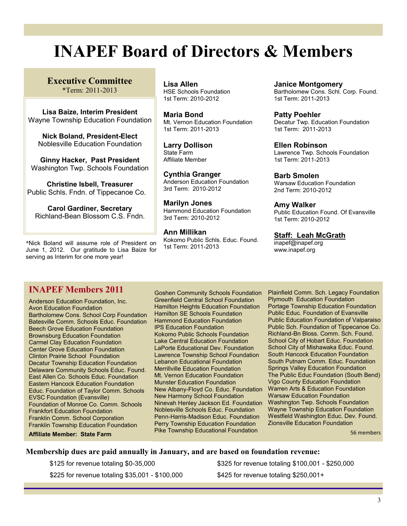# **INAPEF Board of Directors & Members**

**Executive Committee** \*Term: 2011-2013

**Lisa Baize, Interim President** Wayne Township Education Foundation

**Nick Boland, President-Elect** Noblesville Education Foundation

**Ginny Hacker, Past President**  Washington Twp. Schools Foundation

**Christine Isbell, Treasurer** Public Schls. Fndn. of Tippecanoe Co.

**Carol Gardiner, Secretary** Richland-Bean Blossom C.S. Fndn.

\*Nick Boland will assume role of President on June 1, 2012. Our gratitude to Lisa Baize for serving as Interim for one more year!

**Lisa Allen** HSE Schools Foundation 1st Term: 2010-2012

**Maria Bond** Mt. Vernon Education Foundation 1st Term: 2011-2013

**Larry Dollison** State Farm Affiliate Member

**Cynthia Granger** Anderson Education Foundation 3rd Term: 2010-2012

**Marilyn Jones** Hammond Education Foundation 3rd Term: 2010-2012

**Ann Millikan** Kokomo Public Schls. Educ. Found. 1st Term: 2011-2013

**Janice Montgomery** Bartholomew Cons. Schl. Corp. Found. 1st Term: 2011-2013

**Patty Poehler** Decatur Twp. Education Foundation 1st Term: 2011-2013

**Ellen Robinson** Lawrence Twp. Schools Foundation 1st Term: 2011-2013

**Barb Smolen** Warsaw Education Foundation 2nd Term: 2010-2012

**Amy Walker** Public Education Found. Of Evansville 1st Term: 2010-2012

**Staff: Leah McGrath**

inapef@inapef.org www.inapef.org

### **INAPEF Members 2011**

Anderson Education Foundation, Inc. Avon Education Foundation Bartholomew Cons. School Corp Foundation Batesville Comm. Schools Educ. Foundation Beech Grove Education Foundation Brownsburg Education Foundation Carmel Clay Education Foundation Center Grove Education Foundation Clinton Prairie School Foundation Decatur Township Education Foundation Delaware Community Schools Educ. Found. East Allen Co. Schools Educ. Foundation Eastern Hancock Education Foundation Educ. Foundation of Taylor Comm. Schools EVSC Foundation (Evansville) Foundation of Monroe Co. Comm. Schools Frankfort Education Foundation Franklin Comm. School Corporation Franklin Township Education Foundation **Affiliate Member: State Farm** 

Goshen Community Schools Foundation Greenfield Central School Foundation Hamilton Heights Education Foundation Hamilton SE Schools Foundation Hammond Education Foundation IPS Education Foundation Kokomo Public Schools Foundation Lake Central Education Foundation LaPorte Educational Dev. Foundation Lawrence Township School Foundation Lebanon Educational Foundation Merrillville Education Foundation Mt. Vernon Education Foundation Munster Education Foundation New Albany-Floyd Co. Educ. Foundation New Harmony School Foundation Ninevah Henley Jackson Ed. Foundation Noblesville Schools Educ. Foundation Penn-Harris-Madison Educ. Foundation Perry Township Education Foundation Pike Township Educational Foundation

Plainfield Comm. Sch. Legacy Foundation Plymouth Education Foundation Portage Township Education Foundation Public Educ. Foundation of Evansville Public Education Foundation of Valparaiso Public Sch. Foundation of Tippecanoe Co. Richland-Bn Bloss. Comm. Sch. Found. School City of Hobart Educ. Foundation School City of Mishawaka Educ. Found. South Hancock Education Foundation South Putnam Comm. Educ. Foundation Springs Valley Education Foundation The Public Educ Foundation (South Bend) Vigo County Education Foundation Warren Arts & Education Foundation Warsaw Education Foundation Washington Twp. Schools Foundation Wayne Township Education Foundation Westfield Washington Educ. Dev. Found. Zionsville Education Foundation

56 members

#### **Membership dues are paid annually in January, and are based on foundation revenue:**

\$225 for revenue totaling \$35,001 - \$100,000 \$425 for revenue totaling \$250,001+

\$125 for revenue totaling \$0-35,000 \$325 for revenue totaling \$100,001 - \$250,000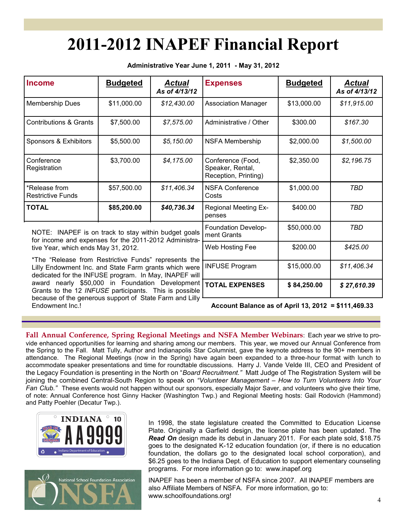# **2011-2012 INAPEF Financial Report**

**Administrative Year June 1, 2011 - May 31, 2012** 

| <b>Income</b>                                                                                                                                                            | <b>Budgeted</b> | Actual<br>As of 4/13/12 | <b>Expenses</b>                                               | <b>Budgeted</b> | Actual<br>As of 4/13/12 |
|--------------------------------------------------------------------------------------------------------------------------------------------------------------------------|-----------------|-------------------------|---------------------------------------------------------------|-----------------|-------------------------|
| <b>Membership Dues</b>                                                                                                                                                   | \$11,000.00     | \$12,430.00             | <b>Association Manager</b>                                    | \$13,000.00     | \$11,915.00             |
| <b>Contributions &amp; Grants</b>                                                                                                                                        | \$7,500.00      | \$7,575.00              | Administrative / Other                                        | \$300.00        | \$167.30                |
| Sponsors & Exhibitors                                                                                                                                                    | \$5,500.00      | \$5,150.00              | <b>NSFA Membership</b>                                        | \$2,000.00      | \$1,500.00              |
| Conference<br>Registration                                                                                                                                               | \$3,700.00      | \$4,175.00              | Conference (Food,<br>Speaker, Rental,<br>Reception, Printing) | \$2,350.00      | \$2,196.75              |
| *Release from<br><b>Restrictive Funds</b>                                                                                                                                | \$57,500.00     | \$11,406.34             | <b>NSFA Conference</b><br>Costs                               | \$1,000.00      | TBD                     |
| <b>TOTAL</b>                                                                                                                                                             | \$85,200.00     | \$40,736.34             | <b>Regional Meeting Ex-</b><br>penses                         | \$400.00        | TBD                     |
| NOTE: INAPEF is on track to stay within budget goals<br>for income and expenses for the 2011-2012 Administra-<br>tive Year, which ends May 31, 2012.                     |                 |                         | \$50,000.00<br>Foundation Develop-<br>ment Grants             |                 | TBD                     |
|                                                                                                                                                                          |                 |                         | Web Hosting Fee                                               | \$200.00        | \$425.00                |
| *The "Release from Restrictive Funds" represents the<br>Lilly Endowment Inc. and State Farm grants which were<br>dodicated for the INELICE program . In May, INADEE will |                 |                         | <b>INFUSE Program</b>                                         | \$15,000.00     | \$11,406.34             |

dedicated for the INFUSE program. In May, INAPEF will award nearly \$50,000 in Foundation Development Grants to the 12 *INFUSE* participants. This is possible because of the generous support of State Farm and Lilly Endowment Inc.!

| Account Balance as of April 13, 2012 = \$111,469.33 |  |  |  |
|-----------------------------------------------------|--|--|--|
|                                                     |  |  |  |

**TOTAL EXPENSES \$ 84,250.00** *\$ 27,610.39*

**Fall Annual Conference, Spring Regional Meetings and NSFA Member Webinars**: Each year we strive to provide enhanced opportunities for learning and sharing among our members. This year, we moved our Annual Conference from the Spring to the Fall. Matt Tully, Author and Indianapolis Star Columnist, gave the keynote address to the 90+ members in attendance. The Regional Meetings (now in the Spring) have again been expanded to a three-hour format with lunch to accommodate speaker presentations and time for roundtable discussions. Harry J. Vande Velde III, CEO and President of the Legacy Foundation is presenting in the North on "*Board Recruitment."* Matt Judge of The Registration System will be joining the combined Central-South Region to speak on *"Volunteer Management – How to Turn Volunteers Into Your Fan Club."* These events would not happen without our sponsors, especially Major Saver, and volunteers who give their time, of note: Annual Conference host Ginny Hacker (Washington Twp.) and Regional Meeting hosts: Gail Rodovich (Hammond) and Patty Poehler (Decatur Twp.).





In 1998, the state legislature created the Committed to Education License Plate. Originally a Garfield design, the license plate has been updated. The *Read On* design made its debut in January 2011. For each plate sold, \$18.75 goes to the designated K-12 education foundation (or, if there is no education foundation, the dollars go to the designated local school corporation), and \$6.25 goes to the Indiana Dept. of Education to support elementary counseling programs. For more information go to: www.inapef.org

INAPEF has been a member of NSFA since 2007. All INAPEF members are also Affiliate Members of NSFA. For more information, go to: www.schoolfoundations.org!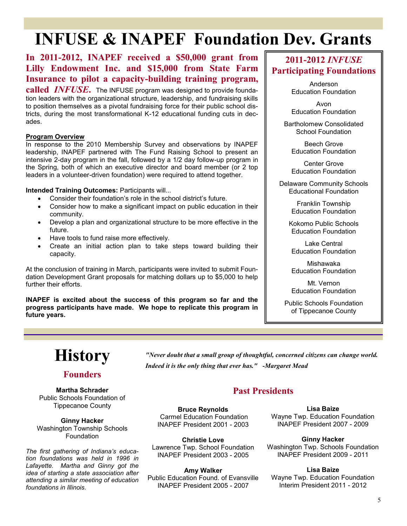# **INFUSE & INAPEF Foundation Dev. Grants**

### **In 2011-2012, INAPEF received a \$50,000 grant from Lilly Endowment Inc. and \$15,000 from State Farm Insurance to pilot a capacity-building training program,**

**called** *INFUSE***.** The INFUSE program was designed to provide foundation leaders with the organizational structure, leadership, and fundraising skills to position themselves as a pivotal fundraising force for their public school districts, during the most transformational K-12 educational funding cuts in decades.

#### **Program Overview**

In response to the 2010 Membership Survey and observations by INAPEF leadership, INAPEF partnered with The Fund Raising School to present an intensive 2-day program in the fall, followed by a 1/2 day follow-up program in the Spring, both of which an executive director and board member (or 2 top leaders in a volunteer-driven foundation) were required to attend together.

**Intended Training Outcomes:** Participants will...

- Consider their foundation's role in the school district's future.
- Consider how to make a significant impact on public education in their community.
- Develop a plan and organizational structure to be more effective in the future.
- Have tools to fund raise more effectively.
- Create an initial action plan to take steps toward building their capacity.

At the conclusion of training in March, participants were invited to submit Foundation Development Grant proposals for matching dollars up to \$5,000 to help further their efforts.

**INAPEF is excited about the success of this program so far and the progress participants have made. We hope to replicate this program in future years.**

### **2011-2012** *INFUSE* **Participating Foundations**

Anderson Education Foundation

Avon Education Foundation

Bartholomew Consolidated School Foundation

> Beech Grove Education Foundation

> Center Grove Education Foundation

Delaware Community Schools Educational Foundation

> Franklin Township Education Foundation

Kokomo Public Schools Education Foundation

Lake Central Education Foundation

Mishawaka Education Foundation

Mt. Vernon Education Foundation

Public Schools Foundation of Tippecanoe County



### **Founders**

**Martha Schrader**  Public Schools Foundation of Tippecanoe County

**Ginny Hacker** Washington Township Schools Foundation

*The first gathering of Indiana's education foundations was held in 1996 in Lafayette. Martha and Ginny got the idea of starting a state association after attending a similar meeting of education foundations in Illinois.*

*"Never doubt that a small group of thoughtful, concerned citizens can change world. Indeed it is the only thing that ever has." -Margaret Mead*

### **Past Presidents**

**Bruce Reynolds** Carmel Education Foundation INAPEF President 2001 - 2003

**Christie Love** Lawrence Twp. School Foundation INAPEF President 2003 - 2005

**Amy Walker** Public Education Found. of Evansville INAPEF President 2005 - 2007

**Lisa Baize** Wayne Twp. Education Foundation INAPEF President 2007 - 2009

**Ginny Hacker** Washington Twp. Schools Foundation INAPEF President 2009 - 2011

**Lisa Baize** Wayne Twp. Education Foundation Interim President 2011 - 2012